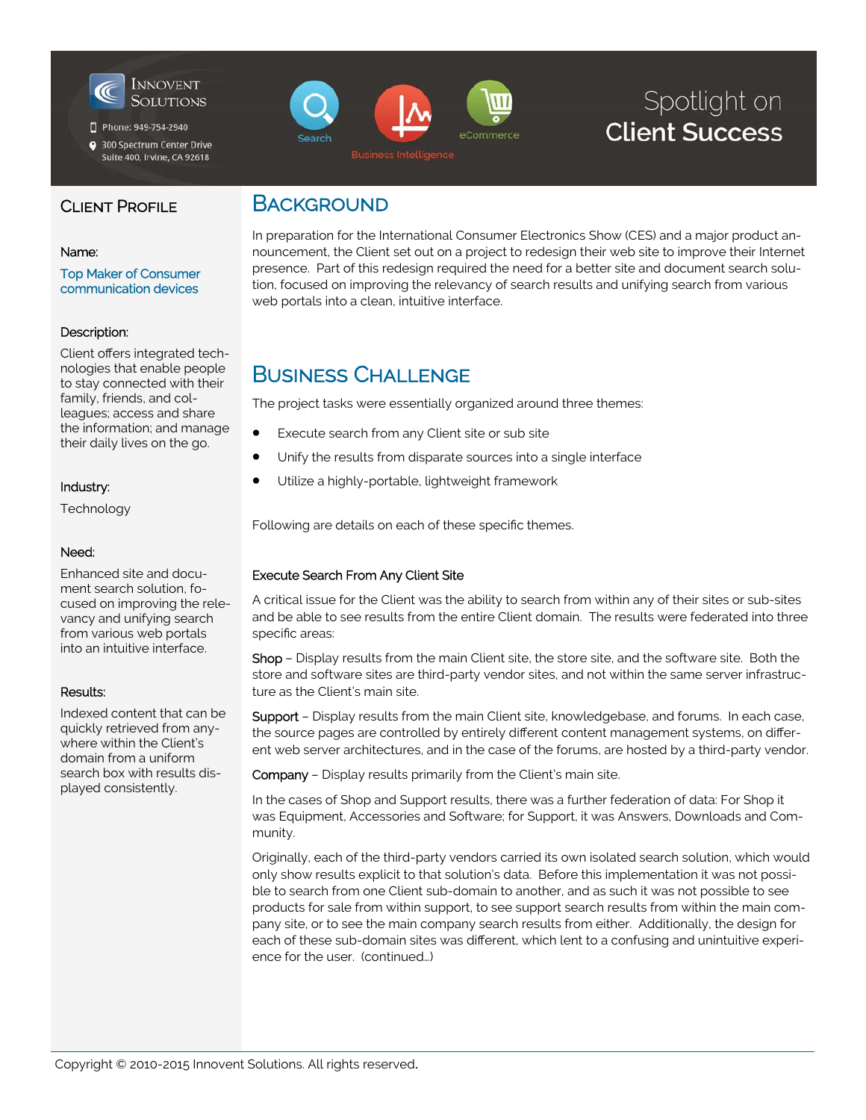

Phone: 949-754-2940

300 Spectrum Center Drive Suite 400, Irvine, CA 92618



# Spotlight on **Client Success**

### CLIENT PROFILE

#### Name:

Top Maker of Consumer communication devices

### Description:

Client offers integrated technologies that enable people to stay connected with their family, friends, and colleagues; access and share the information; and manage their daily lives on the go.

### Industry:

Technology

### Need:

Enhanced site and document search solution, focused on improving the relevancy and unifying search from various web portals into an intuitive interface.

### Results:

Indexed content that can be quickly retrieved from anywhere within the Client's domain from a uniform search box with results displayed consistently.

## **BACKGROUND**

In preparation for the International Consumer Electronics Show (CES) and a major product announcement, the Client set out on a project to redesign their web site to improve their Internet presence. Part of this redesign required the need for a better site and document search solution, focused on improving the relevancy of search results and unifying search from various web portals into a clean, intuitive interface.

## BUSINESS CHALLENGE

The project tasks were essentially organized around three themes:

- Execute search from any Client site or sub site
- Unify the results from disparate sources into a single interface
- Utilize a highly-portable, lightweight framework

Following are details on each of these specific themes.

### Execute Search From Any Client Site

A critical issue for the Client was the ability to search from within any of their sites or sub-sites and be able to see results from the entire Client domain. The results were federated into three specific areas:

Shop – Display results from the main Client site, the store site, and the software site. Both the store and software sites are third-party vendor sites, and not within the same server infrastructure as the Client's main site.

Support - Display results from the main Client site, knowledgebase, and forums. In each case, the source pages are controlled by entirely different content management systems, on different web server architectures, and in the case of the forums, are hosted by a third-party vendor.

Company – Display results primarily from the Client's main site.

In the cases of Shop and Support results, there was a further federation of data: For Shop it was Equipment, Accessories and Software; for Support, it was Answers, Downloads and Community.

Originally, each of the third-party vendors carried its own isolated search solution, which would only show results explicit to that solution's data. Before this implementation it was not possible to search from one Client sub-domain to another, and as such it was not possible to see products for sale from within support, to see support search results from within the main company site, or to see the main company search results from either. Additionally, the design for each of these sub-domain sites was different, which lent to a confusing and unintuitive experience for the user. (continued…)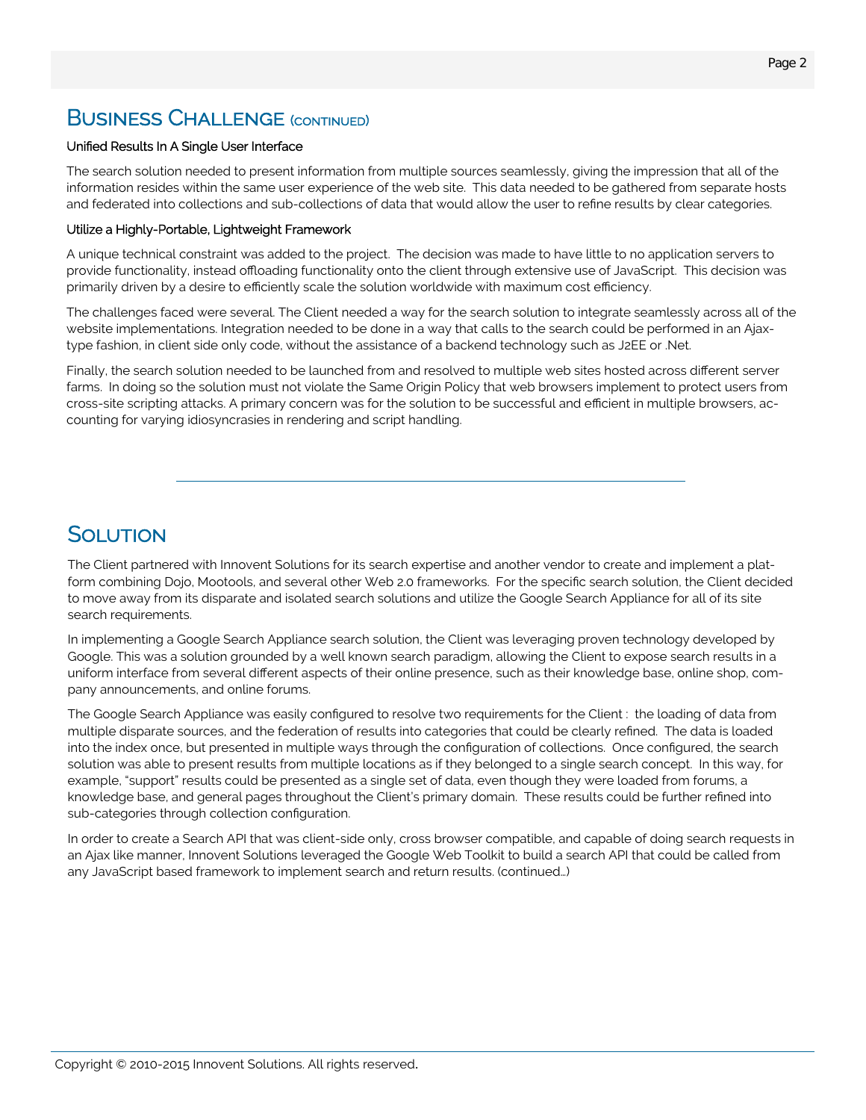## **BUSINESS CHALLENGE** (CONTINUED)

#### Unified Results In A Single User Interface

The search solution needed to present information from multiple sources seamlessly, giving the impression that all of the information resides within the same user experience of the web site. This data needed to be gathered from separate hosts and federated into collections and sub-collections of data that would allow the user to refine results by clear categories.

#### Utilize a Highly-Portable, Lightweight Framework

A unique technical constraint was added to the project. The decision was made to have little to no application servers to provide functionality, instead offloading functionality onto the client through extensive use of JavaScript. This decision was primarily driven by a desire to efficiently scale the solution worldwide with maximum cost efficiency.

The challenges faced were several. The Client needed a way for the search solution to integrate seamlessly across all of the website implementations. Integration needed to be done in a way that calls to the search could be performed in an Ajaxtype fashion, in client side only code, without the assistance of a backend technology such as J2EE or .Net.

Finally, the search solution needed to be launched from and resolved to multiple web sites hosted across different server farms. In doing so the solution must not violate the Same Origin Policy that web browsers implement to protect users from cross-site scripting attacks. A primary concern was for the solution to be successful and efficient in multiple browsers, accounting for varying idiosyncrasies in rendering and script handling.

## SOLUTION

The Client partnered with Innovent Solutions for its search expertise and another vendor to create and implement a platform combining Dojo, Mootools, and several other Web 2.0 frameworks. For the specific search solution, the Client decided to move away from its disparate and isolated search solutions and utilize the Google Search Appliance for all of its site search requirements.

In implementing a Google Search Appliance search solution, the Client was leveraging proven technology developed by Google. This was a solution grounded by a well known search paradigm, allowing the Client to expose search results in a uniform interface from several different aspects of their online presence, such as their knowledge base, online shop, company announcements, and online forums.

The Google Search Appliance was easily configured to resolve two requirements for the Client : the loading of data from multiple disparate sources, and the federation of results into categories that could be clearly refined. The data is loaded into the index once, but presented in multiple ways through the configuration of collections. Once configured, the search solution was able to present results from multiple locations as if they belonged to a single search concept. In this way, for example, "support" results could be presented as a single set of data, even though they were loaded from forums, a knowledge base, and general pages throughout the Client's primary domain. These results could be further refined into sub-categories through collection configuration.

In order to create a Search API that was client-side only, cross browser compatible, and capable of doing search requests in an Ajax like manner, Innovent Solutions leveraged the Google Web Toolkit to build a search API that could be called from any JavaScript based framework to implement search and return results. (continued…)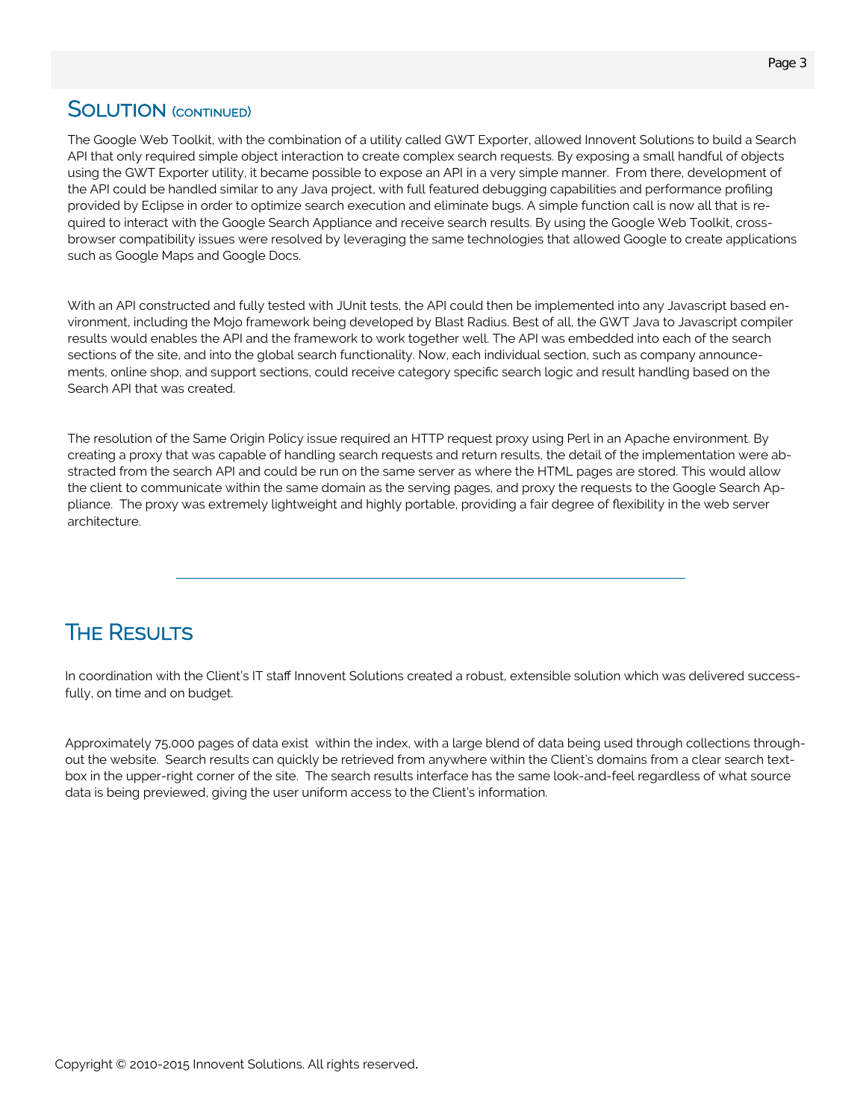### **SOLUTION** (CONTINUED)

The Google Web Toolkit, with the combination of a utility called GWT Exporter, allowed Innovent Solutions to build a Search API that only required simple object interaction to create complex search requests. By exposing a small handful of objects using the GWT Exporter utility, it became possible to expose an API in a very simple manner. From there, development of the API could be handled similar to any Java project, with full featured debugging capabilities and performance profiling provided by Eclipse in order to optimize search execution and eliminate bugs. A simple function call is now all that is required to interact with the Google Search Appliance and receive search results. By using the Google Web Toolkit, crossbrowser compatibility issues were resolved by leveraging the same technologies that allowed Google to create applications such as Google Maps and Google Docs.

With an API constructed and fully tested with JUnit tests, the API could then be implemented into any Javascript based environment, including the Mojo framework being developed by Blast Radius. Best of all, the GWT Java to Javascript compiler results would enables the API and the framework to work together well. The API was embedded into each of the search sections of the site, and into the global search functionality. Now, each individual section, such as company announcements, online shop, and support sections, could receive category specific search logic and result handling based on the Search API that was created.

The resolution of the Same Origin Policy issue required an HTTP request proxy using Perl in an Apache environment. By creating a proxy that was capable of handling search requests and return results, the detail of the implementation were abstracted from the search API and could be run on the same server as where the HTML pages are stored. This would allow the client to communicate within the same domain as the serving pages, and proxy the requests to the Google Search Appliance. The proxy was extremely lightweight and highly portable, providing a fair degree of flexibility in the web server architecture.

# **THE RESULTS**

In coordination with the Client's IT staff Innovent Solutions created a robust, extensible solution which was delivered successfully, on time and on budget.

Approximately 75,000 pages of data exist within the index, with a large blend of data being used through collections throughout the website. Search results can quickly be retrieved from anywhere within the Client's domains from a clear search textbox in the upper-right corner of the site. The search results interface has the same look-and-feel regardless of what source data is being previewed, giving the user uniform access to the Client's information.